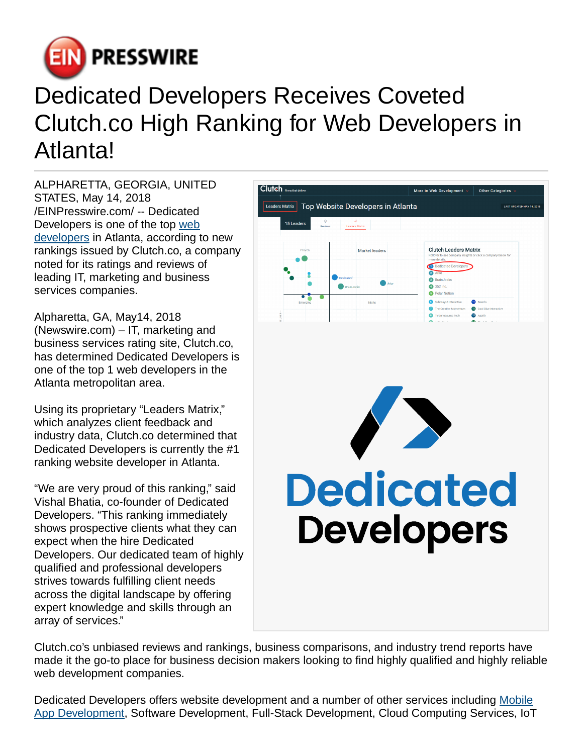

## Dedicated Developers Receives Coveted Clutch.co High Ranking for Web Developers in Atlanta!

ALPHARETTA, GEORGIA, UNITED STATES, May 14, 2018 [/EINPresswire.com](http://www.einpresswire.com)/ -- Dedicated Developers is one of the top [web](https://dedicateddevelopers.com/) [developers](https://dedicateddevelopers.com/) in Atlanta, according to new rankings issued by Clutch.co, a company noted for its ratings and reviews of leading IT, marketing and business services companies.

Alpharetta, GA, May14, 2018 (Newswire.com) – IT, marketing and business services rating site, Clutch.co, has determined Dedicated Developers is one of the top 1 web developers in the Atlanta metropolitan area.

Using its proprietary "Leaders Matrix," which analyzes client feedback and industry data, Clutch.co determined that Dedicated Developers is currently the #1 ranking website developer in Atlanta.

"We are very proud of this ranking," said Vishal Bhatia, co-founder of Dedicated Developers. "This ranking immediately shows prospective clients what they can expect when the hire Dedicated Developers. Our dedicated team of highly qualified and professional developers strives towards fulfilling client needs across the digital landscape by offering expert knowledge and skills through an array of services."



Clutch.co's unbiased reviews and rankings, business comparisons, and industry trend reports have made it the go-to place for business decision makers looking to find highly qualified and highly reliable web development companies.

Dedicated Developers offers website development and a number of other services including [Mobile](https://dedicateddevelopers.com/mobile-application-development/) [App Development,](https://dedicateddevelopers.com/mobile-application-development/) Software Development, Full-Stack Development, Cloud Computing Services, IoT